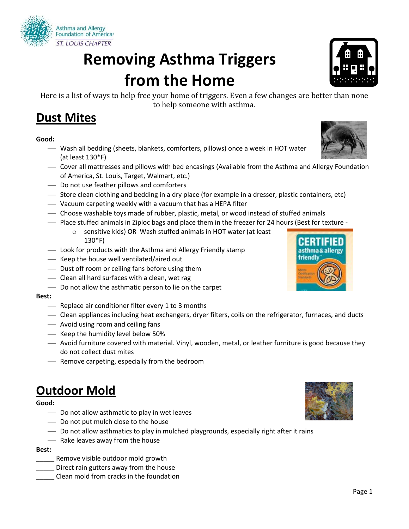

# **Removing Asthma Triggers from the Home**

Here is a list of ways to help free your home of triggers. Even a few changes are better than none to help someone with asthma.

### **Dust Mites**

#### **Good:**

- Wash all bedding (sheets, blankets, comforters, pillows) once a week in HOT water (at least 130\*F)
- Cover all mattresses and pillows with bed encasings (Available from the Asthma and Allergy Foundation of America, St. Louis, Target, Walmart, etc.)
- Do not use feather pillows and comforters
- Store clean clothing and bedding in a dry place (for example in a dresser, plastic containers, etc)
- Vacuum carpeting weekly with a vacuum that has a HEPA filter
- Choose washable toys made of rubber, plastic, metal, or wood instead of stuffed animals
- Place stuffed animals in Ziploc bags and place them in the freezer for 24 hours (Best for texture
	- o sensitive kids) OR Wash stuffed animals in HOT water (at least 130\*F)
- Look for products with the Asthma and Allergy Friendly stamp
- $\overline{\phantom{a}}$  Keep the house well ventilated/aired out
- Dust off room or ceiling fans before using them
- Clean all hard surfaces with a clean, wet rag
- Do not allow the asthmatic person to lie on the carpet

#### **Best:**

- $-$  Replace air conditioner filter every 1 to 3 months
- Clean appliances including heat exchangers, dryer filters, coils on the refrigerator, furnaces, and ducts
- Avoid using room and ceiling fans
- Keep the humidity level below 50%
- Avoid furniture covered with material. Vinyl, wooden, metal, or leather furniture is good because they do not collect dust mites
- Remove carpeting, especially from the bedroom

### **Outdoor Mold**

**Good:** 

- $\sim$  Do not allow asthmatic to play in wet leaves
- Do not put mulch close to the house
- Do not allow asthmatics to play in mulched playgrounds, especially right after it rains
- Rake leaves away from the house

#### **Best:**

- \_\_\_\_\_ Remove visible outdoor mold growth
- Direct rain gutters away from the house
- \_\_\_\_\_ Clean mold from cracks in the foundation





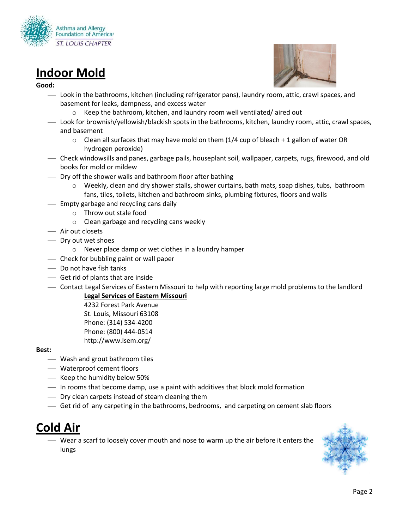

# **Indoor Mold**

#### **Good:**



- Look in the bathrooms, kitchen (including refrigerator pans), laundry room, attic, crawl spaces, and basement for leaks, dampness, and excess water
	- Keep the bathroom, kitchen, and laundry room well ventilated/aired out
- Look for brownish/yellowish/blackish spots in the bathrooms, kitchen, laundry room, attic, crawl spaces, and basement
	- $\circ$  Clean all surfaces that may have mold on them (1/4 cup of bleach + 1 gallon of water OR hydrogen peroxide)
- Check windowsills and panes, garbage pails, houseplant soil, wallpaper, carpets, rugs, firewood, and old books for mold or mildew
- $-$  Dry off the shower walls and bathroom floor after bathing
	- o Weekly, clean and dry shower stalls, shower curtains, bath mats, soap dishes, tubs, bathroom fans, tiles, toilets, kitchen and bathroom sinks, plumbing fixtures, floors and walls
- Empty garbage and recycling cans daily
	- o Throw out stale food
	- o Clean garbage and recycling cans weekly
- Air out closets
- Dry out wet shoes
	- o Never place damp or wet clothes in a laundry hamper
- Check for bubbling paint or wall paper
- Do not have fish tanks
- Get rid of plants that are inside
- Contact Legal Services of Eastern Missouri to help with reporting large mold problems to the landlord

#### **Legal Services of Eastern Missouri**

4232 Forest Park Avenue St. Louis, Missouri 63108 Phone: (314) 534-4200 Phone: (800) 444-0514 http://www.lsem.org/

#### **Best:**

- Wash and grout bathroom tiles
- Waterproof cement floors
- Keep the humidity below 50%
- In rooms that become damp, use a paint with additives that block mold formation
- $\overline{\phantom{a}}$  Dry clean carpets instead of steam cleaning them
- Get rid of any carpeting in the bathrooms, bedrooms, and carpeting on cement slab floors

# **Cold Air**

 Wear a scarf to loosely cover mouth and nose to warm up the air before it enters the lungs

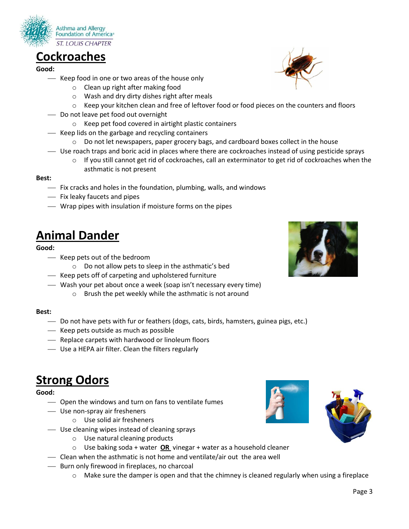

### **Cockroaches**

**Good:** 

- Keep food in one or two areas of the house only
	- o Clean up right after making food
	- o Wash and dry dirty dishes right after meals
	- o Keep your kitchen clean and free of leftover food or food pieces on the counters and floors
- Do not leave pet food out overnight
	- o Keep pet food covered in airtight plastic containers
- $\equiv$  Keep lids on the garbage and recycling containers
	- $\circ$  Do not let newspapers, paper grocery bags, and cardboard boxes collect in the house
- Use roach traps and boric acid in places where there are cockroaches instead of using pesticide sprays
	- $\circ$  If you still cannot get rid of cockroaches, call an exterminator to get rid of cockroaches when the asthmatic is not present

#### **Best:**

- $-$  Fix cracks and holes in the foundation, plumbing, walls, and windows
- Fix leaky faucets and pipes
- Wrap pipes with insulation if moisture forms on the pipes

### **Animal Dander**

#### **Good:**

- Keep pets out of the bedroom
	- o Do not allow pets to sleep in the asthmatic's bed
- $-$  Keep pets off of carpeting and upholstered furniture
- Wash your pet about once a week (soap isn't necessary every time)
	- o Brush the pet weekly while the asthmatic is not around

#### **Best:**

- Do not have pets with fur or feathers (dogs, cats, birds, hamsters, guinea pigs, etc.)
- $-$  Keep pets outside as much as possible
- Replace carpets with hardwood or linoleum floors
- Use a HEPA air filter. Clean the filters regularly

### **Strong Odors**

#### **Good:**

- $\sim$  Open the windows and turn on fans to ventilate fumes
- Use non-spray air fresheners
	- o Use solid air fresheners
- Use cleaning wipes instead of cleaning sprays
	- o Use natural cleaning products
	- o Use baking soda + water **OR** vinegar + water as a household cleaner
- Clean when the asthmatic is not home and ventilate/air out the area well
- Burn only firewood in fireplaces, no charcoal
	- $\circ$  Make sure the damper is open and that the chimney is cleaned regularly when using a fireplace